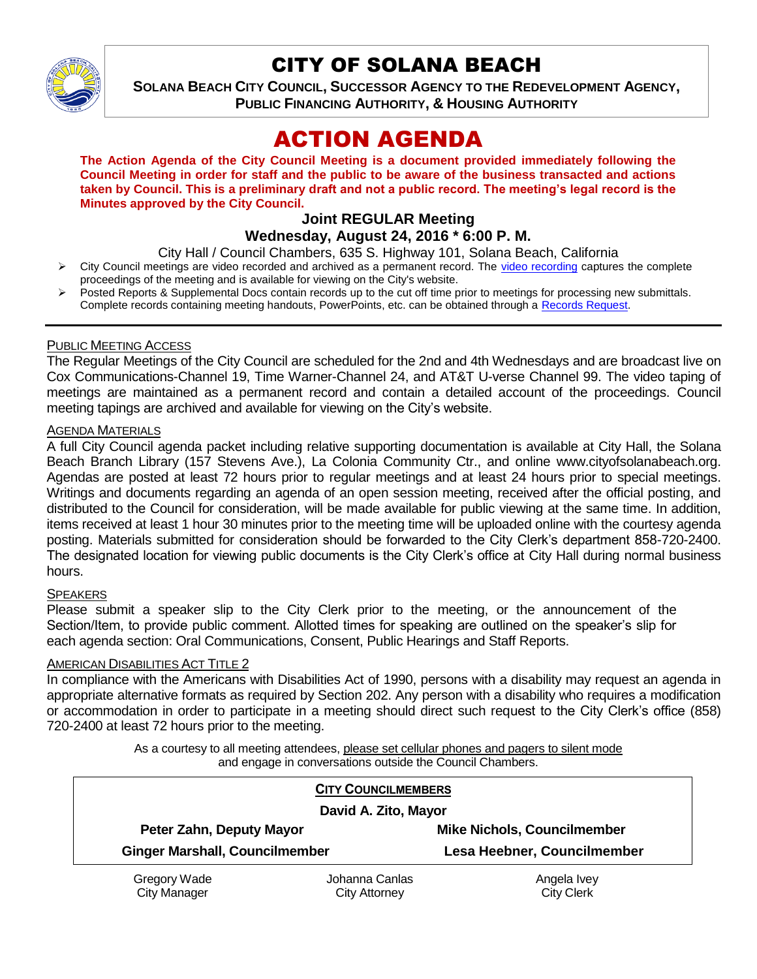

# CITY OF SOLANA BEACH

**SOLANA BEACH CITY COUNCIL, SUCCESSOR AGENCY TO THE REDEVELOPMENT AGENCY, PUBLIC FINANCING AUTHORITY, & HOUSING AUTHORITY** 

# ACTION AGENDA

**The Action Agenda of the City Council Meeting is a document provided immediately following the Council Meeting in order for staff and the public to be aware of the business transacted and actions taken by Council. This is a preliminary draft and not a public record. The meeting's legal record is the Minutes approved by the City Council.**

# **Joint REGULAR Meeting**

**Wednesday, August 24, 2016 \* 6:00 P. M.**

City Hall / Council Chambers, 635 S. Highway 101, Solana Beach, California

- City Council meetings are video recorded and archived as a permanent record. The [video recording](http://solanabeach.12milesout.com/#/video/dc0476ec-5a3e-44a0-bdf7-b286845546a6) captures the complete proceedings of the meeting and is available for viewing on the City's website.
- Posted Reports & Supplemental Docs contain records up to the cut off time prior to meetings for processing new submittals. Complete records containing meeting handouts, PowerPoints, etc. can be obtained through a [Records Request.](http://www.ci.solana-beach.ca.us/index.asp?SEC=F5D45D10-70CE-4291-A27C-7BD633FC6742&Type=B_BASIC)

## PUBLIC MEETING ACCESS

The Regular Meetings of the City Council are scheduled for the 2nd and 4th Wednesdays and are broadcast live on Cox Communications-Channel 19, Time Warner-Channel 24, and AT&T U-verse Channel 99. The video taping of meetings are maintained as a permanent record and contain a detailed account of the proceedings. Council meeting tapings are archived and available for viewing on the City's website.

# **AGENDA MATERIALS**

A full City Council agenda packet including relative supporting documentation is available at City Hall, the Solana Beach Branch Library (157 Stevens Ave.), La Colonia Community Ctr., and online www.cityofsolanabeach.org. Agendas are posted at least 72 hours prior to regular meetings and at least 24 hours prior to special meetings. Writings and documents regarding an agenda of an open session meeting, received after the official posting, and distributed to the Council for consideration, will be made available for public viewing at the same time. In addition, items received at least 1 hour 30 minutes prior to the meeting time will be uploaded online with the courtesy agenda posting. Materials submitted for consideration should be forwarded to the City Clerk's department 858-720-2400. The designated location for viewing public documents is the City Clerk's office at City Hall during normal business hours.

# **SPEAKERS**

Please submit a speaker slip to the City Clerk prior to the meeting, or the announcement of the Section/Item, to provide public comment. Allotted times for speaking are outlined on the speaker's slip for each agenda section: Oral Communications, Consent, Public Hearings and Staff Reports.

#### AMERICAN DISABILITIES ACT TITLE 2

In compliance with the Americans with Disabilities Act of 1990, persons with a disability may request an agenda in appropriate alternative formats as required by Section 202. Any person with a disability who requires a modification or accommodation in order to participate in a meeting should direct such request to the City Clerk's office (858) 720-2400 at least 72 hours prior to the meeting.

> As a courtesy to all meeting attendees, please set cellular phones and pagers to silent mode and engage in conversations outside the Council Chambers.

| <b>CITY COUNCILMEMBERS</b>            |                |                                    |
|---------------------------------------|----------------|------------------------------------|
| David A. Zito, Mayor                  |                |                                    |
| Peter Zahn, Deputy Mayor              |                | <b>Mike Nichols, Councilmember</b> |
| <b>Ginger Marshall, Councilmember</b> |                | Lesa Heebner, Councilmember        |
| Gregory Wade                          | Johanna Canlas | Angela Ivey                        |
| <b>City Manager</b>                   | City Attorney  | <b>City Clerk</b>                  |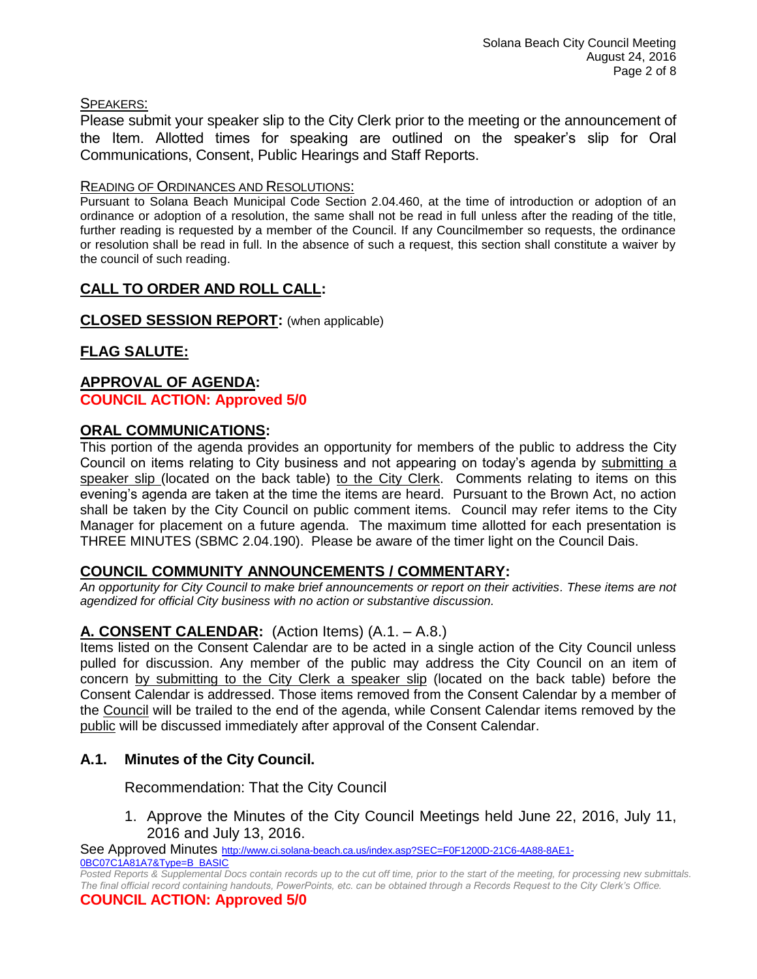#### SPEAKERS:

Please submit your speaker slip to the City Clerk prior to the meeting or the announcement of the Item. Allotted times for speaking are outlined on the speaker's slip for Oral Communications, Consent, Public Hearings and Staff Reports.

#### READING OF ORDINANCES AND RESOLUTIONS:

Pursuant to Solana Beach Municipal Code Section 2.04.460, at the time of introduction or adoption of an ordinance or adoption of a resolution, the same shall not be read in full unless after the reading of the title, further reading is requested by a member of the Council. If any Councilmember so requests, the ordinance or resolution shall be read in full. In the absence of such a request, this section shall constitute a waiver by the council of such reading.

# **CALL TO ORDER AND ROLL CALL:**

**CLOSED SESSION REPORT:** (when applicable)

# **FLAG SALUTE:**

# **APPROVAL OF AGENDA:**

# **COUNCIL ACTION: Approved 5/0**

# **ORAL COMMUNICATIONS:**

This portion of the agenda provides an opportunity for members of the public to address the City Council on items relating to City business and not appearing on today's agenda by submitting a speaker slip (located on the back table) to the City Clerk. Comments relating to items on this evening's agenda are taken at the time the items are heard. Pursuant to the Brown Act, no action shall be taken by the City Council on public comment items. Council may refer items to the City Manager for placement on a future agenda. The maximum time allotted for each presentation is THREE MINUTES (SBMC 2.04.190). Please be aware of the timer light on the Council Dais.

# **COUNCIL COMMUNITY ANNOUNCEMENTS / COMMENTARY:**

*An opportunity for City Council to make brief announcements or report on their activities. These items are not agendized for official City business with no action or substantive discussion.* 

# **A. CONSENT CALENDAR:** (Action Items) (A.1. – A.8.)

Items listed on the Consent Calendar are to be acted in a single action of the City Council unless pulled for discussion. Any member of the public may address the City Council on an item of concern by submitting to the City Clerk a speaker slip (located on the back table) before the Consent Calendar is addressed. Those items removed from the Consent Calendar by a member of the Council will be trailed to the end of the agenda, while Consent Calendar items removed by the public will be discussed immediately after approval of the Consent Calendar.

# **A.1. Minutes of the City Council.**

Recommendation: That the City Council

1. Approve the Minutes of the City Council Meetings held June 22, 2016, July 11, 2016 and July 13, 2016.

See Approved Minutes [http://www.ci.solana-beach.ca.us/index.asp?SEC=F0F1200D-21C6-4A88-8AE1-](http://www.ci.solana-beach.ca.us/index.asp?SEC=F0F1200D-21C6-4A88-8AE1-0BC07C1A81A7&Type=B_BASIC)

*Posted Reports & Supplemental Docs contain records up to the cut off time, prior to the start of the meeting, for processing new submittals. The final official record containing handouts, PowerPoints, etc. can be obtained through a Records Request to the City Clerk's Office.*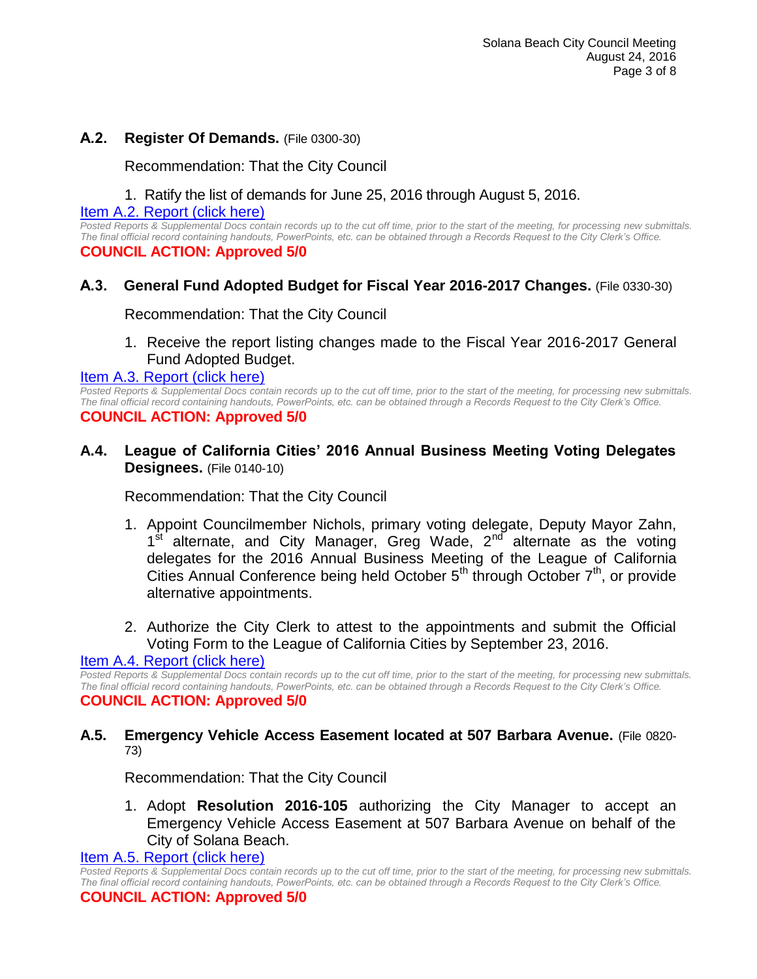## **A.2. Register Of Demands.** (File 0300-30)

Recommendation: That the City Council

## 1. Ratify the list of demands for June 25, 2016 through August 5, 2016.

[Item A.2. Report \(click here\)](https://solanabeach.govoffice3.com/vertical/Sites/%7B840804C2-F869-4904-9AE3-720581350CE7%7D/uploads/Item_A.2._Report_(click_here)_08-24-16.PDF)

*Posted Reports & Supplemental Docs contain records up to the cut off time, prior to the start of the meeting, for processing new submittals. The final official record containing handouts, PowerPoints, etc. can be obtained through a Records Request to the City Clerk's Office.* **COUNCIL ACTION: Approved 5/0**

## **A.3. General Fund Adopted Budget for Fiscal Year 2016-2017 Changes.** (File 0330-30)

Recommendation: That the City Council

1. Receive the report listing changes made to the Fiscal Year 2016-2017 General Fund Adopted Budget.

[Item A.3. Report \(click here\)](https://solanabeach.govoffice3.com/vertical/Sites/%7B840804C2-F869-4904-9AE3-720581350CE7%7D/uploads/Item_A.3._Report_(click_here)_08-24-16.PDF)

*Posted Reports & Supplemental Docs contain records up to the cut off time, prior to the start of the meeting, for processing new submittals. The final official record containing handouts, PowerPoints, etc. can be obtained through a Records Request to the City Clerk's Office.* **COUNCIL ACTION: Approved 5/0**

## **A.4. League of California Cities' 2016 Annual Business Meeting Voting Delegates Designees.** (File 0140-10)

Recommendation: That the City Council

- 1. Appoint Councilmember Nichols, primary voting delegate, Deputy Mayor Zahn, 1<sup>st alternate, and City Manager, Greg Wade, 2<sup>nd</sup> alternate as the voting</sup> delegates for the 2016 Annual Business Meeting of the League of California Cities Annual Conference being held October  $5<sup>th</sup>$  through October  $7<sup>th</sup>$ , or provide alternative appointments.
- 2. Authorize the City Clerk to attest to the appointments and submit the Official Voting Form to the League of California Cities by September 23, 2016.

#### [Item A.4. Report \(click here\)](https://solanabeach.govoffice3.com/vertical/Sites/%7B840804C2-F869-4904-9AE3-720581350CE7%7D/uploads/Item_A.4._Report_(click_here)_08-24-16.PDF)

*Posted Reports & Supplemental Docs contain records up to the cut off time, prior to the start of the meeting, for processing new submittals. The final official record containing handouts, PowerPoints, etc. can be obtained through a Records Request to the City Clerk's Office.* **COUNCIL ACTION: Approved 5/0**

#### **A.5. Emergency Vehicle Access Easement located at 507 Barbara Avenue.** (File 0820- 73)

Recommendation: That the City Council

1. Adopt **Resolution 2016-105** authorizing the City Manager to accept an Emergency Vehicle Access Easement at 507 Barbara Avenue on behalf of the City of Solana Beach.

Item A.5. [Report \(click here\)](https://solanabeach.govoffice3.com/vertical/Sites/%7B840804C2-F869-4904-9AE3-720581350CE7%7D/uploads/Item_A.5._Report_(click_here)_08-24-16.PDF)

*Posted Reports & Supplemental Docs contain records up to the cut off time, prior to the start of the meeting, for processing new submittals. The final official record containing handouts, PowerPoints, etc. can be obtained through a Records Request to the City Clerk's Office.* **COUNCIL ACTION: Approved 5/0**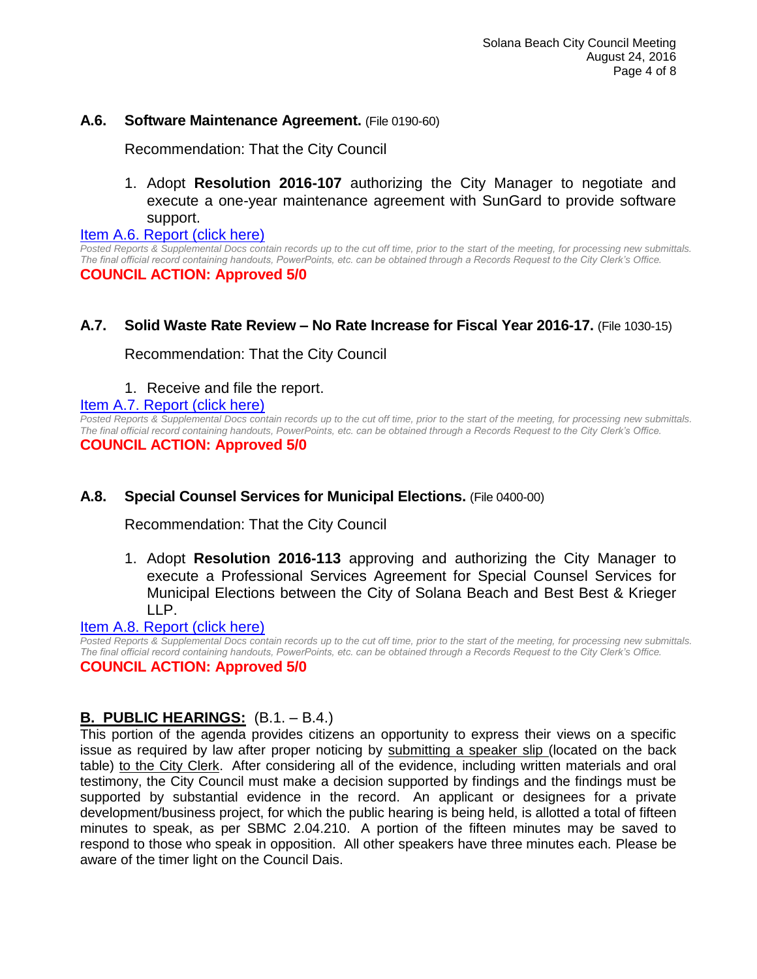## **A.6. Software Maintenance Agreement.** (File 0190-60)

Recommendation: That the City Council

1. Adopt **Resolution 2016-107** authorizing the City Manager to negotiate and execute a one-year maintenance agreement with SunGard to provide software support.

[Item A.6. Report \(click here\)](https://solanabeach.govoffice3.com/vertical/Sites/%7B840804C2-F869-4904-9AE3-720581350CE7%7D/uploads/Item_A.6._Report_(click_here)_08-24-16.PDF)

*Posted Reports & Supplemental Docs contain records up to the cut off time, prior to the start of the meeting, for processing new submittals. The final official record containing handouts, PowerPoints, etc. can be obtained through a Records Request to the City Clerk's Office.* **COUNCIL ACTION: Approved 5/0**

# **A.7. Solid Waste Rate Review – No Rate Increase for Fiscal Year 2016-17.** (File 1030-15)

Recommendation: That the City Council

1. Receive and file the report.

#### [Item A.7. Report \(click here\)](https://solanabeach.govoffice3.com/vertical/Sites/%7B840804C2-F869-4904-9AE3-720581350CE7%7D/uploads/Item_A.7._Report_(click_here)_08-24-16.PDF)

*Posted Reports & Supplemental Docs contain records up to the cut off time, prior to the start of the meeting, for processing new submittals. The final official record containing handouts, PowerPoints, etc. can be obtained through a Records Request to the City Clerk's Office.*

**COUNCIL ACTION: Approved 5/0**

# **A.8. Special Counsel Services for Municipal Elections.** (File 0400-00)

Recommendation: That the City Council

1. Adopt **Resolution 2016-113** approving and authorizing the City Manager to execute a Professional Services Agreement for Special Counsel Services for Municipal Elections between the City of Solana Beach and Best Best & Krieger LLP.

[Item A.8. Report \(click here\)](https://solanabeach.govoffice3.com/vertical/Sites/%7B840804C2-F869-4904-9AE3-720581350CE7%7D/uploads/Item_A.8._Report_(click_here)_08-24-16.PDF)

*Posted Reports & Supplemental Docs contain records up to the cut off time, prior to the start of the meeting, for processing new submittals. The final official record containing handouts, PowerPoints, etc. can be obtained through a Records Request to the City Clerk's Office.*

**COUNCIL ACTION: Approved 5/0**

# **B. PUBLIC HEARINGS:** (B.1. – B.4.)

This portion of the agenda provides citizens an opportunity to express their views on a specific issue as required by law after proper noticing by submitting a speaker slip (located on the back table) to the City Clerk. After considering all of the evidence, including written materials and oral testimony, the City Council must make a decision supported by findings and the findings must be supported by substantial evidence in the record. An applicant or designees for a private development/business project, for which the public hearing is being held, is allotted a total of fifteen minutes to speak, as per SBMC 2.04.210. A portion of the fifteen minutes may be saved to respond to those who speak in opposition. All other speakers have three minutes each. Please be aware of the timer light on the Council Dais.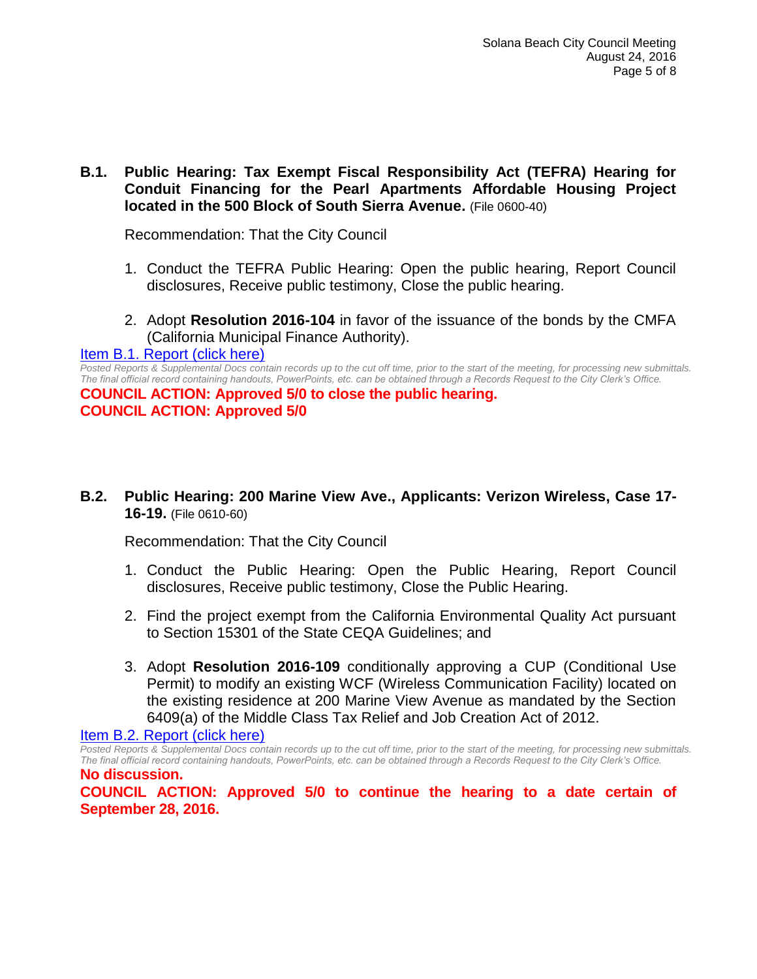# **B.1. Public Hearing: Tax Exempt Fiscal Responsibility Act (TEFRA) Hearing for Conduit Financing for the Pearl Apartments Affordable Housing Project located in the 500 Block of South Sierra Avenue.** (File 0600-40)

Recommendation: That the City Council

- 1. Conduct the TEFRA Public Hearing: Open the public hearing, Report Council disclosures, Receive public testimony, Close the public hearing.
- 2. Adopt **Resolution 2016-104** in favor of the issuance of the bonds by the CMFA (California Municipal Finance Authority).

#### [Item B.1. Report \(click here\)](https://solanabeach.govoffice3.com/vertical/Sites/%7B840804C2-F869-4904-9AE3-720581350CE7%7D/uploads/Item_B.1._Report_(click_here)_08-24-16.PDF)

*Posted Reports & Supplemental Docs contain records up to the cut off time, prior to the start of the meeting, for processing new submittals. The final official record containing handouts, PowerPoints, etc. can be obtained through a Records Request to the City Clerk's Office.* **COUNCIL ACTION: Approved 5/0 to close the public hearing. COUNCIL ACTION: Approved 5/0**

## **B.2. Public Hearing: 200 Marine View Ave., Applicants: Verizon Wireless, Case 17- 16-19.** (File 0610-60)

Recommendation: That the City Council

- 1. Conduct the Public Hearing: Open the Public Hearing, Report Council disclosures, Receive public testimony, Close the Public Hearing.
- 2. Find the project exempt from the California Environmental Quality Act pursuant to Section 15301 of the State CEQA Guidelines; and
- 3. Adopt **Resolution 2016-109** conditionally approving a CUP (Conditional Use Permit) to modify an existing WCF (Wireless Communication Facility) located on the existing residence at 200 Marine View Avenue as mandated by the Section 6409(a) of the Middle Class Tax Relief and Job Creation Act of 2012.

[Item B.2. Report \(click here\)](https://solanabeach.govoffice3.com/vertical/Sites/%7B840804C2-F869-4904-9AE3-720581350CE7%7D/uploads/Item_B.2._Report_(click_here)_08-24-16.PDF)

*Posted Reports & Supplemental Docs contain records up to the cut off time, prior to the start of the meeting, for processing new submittals. The final official record containing handouts, PowerPoints, etc. can be obtained through a Records Request to the City Clerk's Office.* **No discussion.**

**COUNCIL ACTION: Approved 5/0 to continue the hearing to a date certain of September 28, 2016.**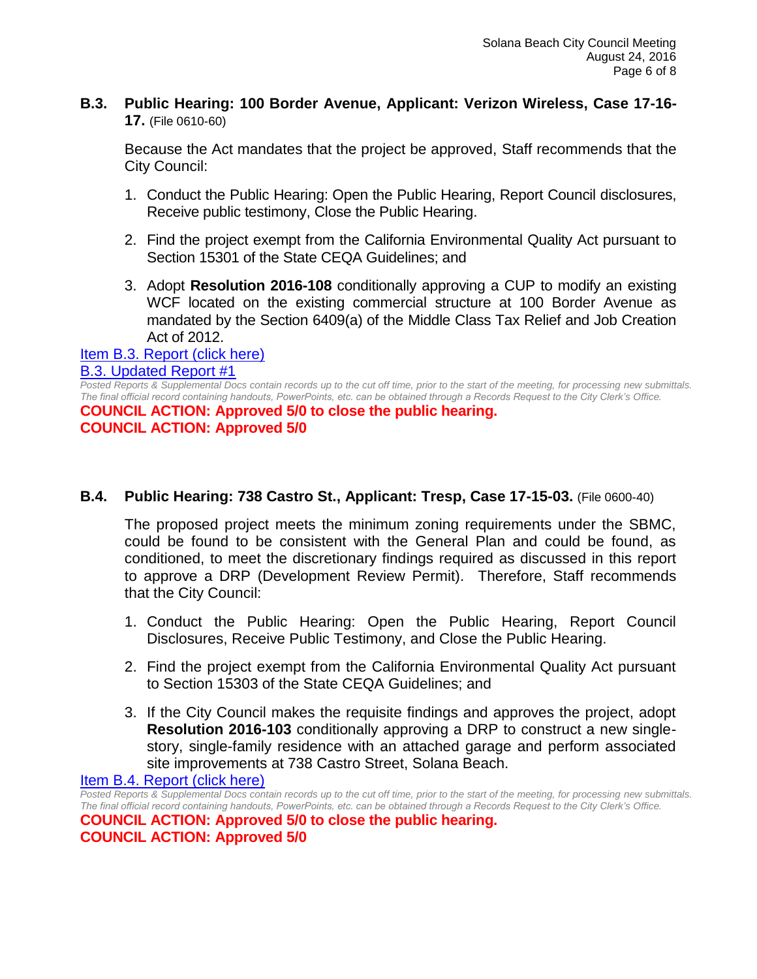# **B.3. Public Hearing: 100 Border Avenue, Applicant: Verizon Wireless, Case 17-16- 17.** (File 0610-60)

Because the Act mandates that the project be approved, Staff recommends that the City Council:

- 1. Conduct the Public Hearing: Open the Public Hearing, Report Council disclosures, Receive public testimony, Close the Public Hearing.
- 2. Find the project exempt from the California Environmental Quality Act pursuant to Section 15301 of the State CEQA Guidelines; and
- 3. Adopt **Resolution 2016-108** conditionally approving a CUP to modify an existing WCF located on the existing commercial structure at 100 Border Avenue as mandated by the Section 6409(a) of the Middle Class Tax Relief and Job Creation Act of 2012.

#### [Item B.3. Report \(click here\)](https://solanabeach.govoffice3.com/vertical/Sites/%7B840804C2-F869-4904-9AE3-720581350CE7%7D/uploads/Item_B.3._Report_(click_here)_08-24-16.PDF) [B.3. Updated Report #1](https://solanabeach.govoffice3.com/vertical/Sites/%7B840804C2-F869-4904-9AE3-720581350CE7%7D/uploads/B.3._Updated_Report_1(6).pdf)

*Posted Reports & Supplemental Docs contain records up to the cut off time, prior to the start of the meeting, for processing new submittals. The final official record containing handouts, PowerPoints, etc. can be obtained through a Records Request to the City Clerk's Office.*

**COUNCIL ACTION: Approved 5/0 to close the public hearing. COUNCIL ACTION: Approved 5/0**

# **B.4. Public Hearing: 738 Castro St., Applicant: Tresp, Case 17-15-03.** (File 0600-40)

The proposed project meets the minimum zoning requirements under the SBMC, could be found to be consistent with the General Plan and could be found, as conditioned, to meet the discretionary findings required as discussed in this report to approve a DRP (Development Review Permit). Therefore, Staff recommends that the City Council:

- 1. Conduct the Public Hearing: Open the Public Hearing, Report Council Disclosures, Receive Public Testimony, and Close the Public Hearing.
- 2. Find the project exempt from the California Environmental Quality Act pursuant to Section 15303 of the State CEQA Guidelines; and
- 3. If the City Council makes the requisite findings and approves the project, adopt **Resolution 2016-103** conditionally approving a DRP to construct a new singlestory, single-family residence with an attached garage and perform associated site improvements at 738 Castro Street, Solana Beach.

[Item B.4. Report \(click here\)](https://solanabeach.govoffice3.com/vertical/Sites/%7B840804C2-F869-4904-9AE3-720581350CE7%7D/uploads/Item_B.4._Report_(click_here)_08-24-16.PDF)

*Posted Reports & Supplemental Docs contain records up to the cut off time, prior to the start of the meeting, for processing new submittals. The final official record containing handouts, PowerPoints, etc. can be obtained through a Records Request to the City Clerk's Office.* **COUNCIL ACTION: Approved 5/0 to close the public hearing. COUNCIL ACTION: Approved 5/0**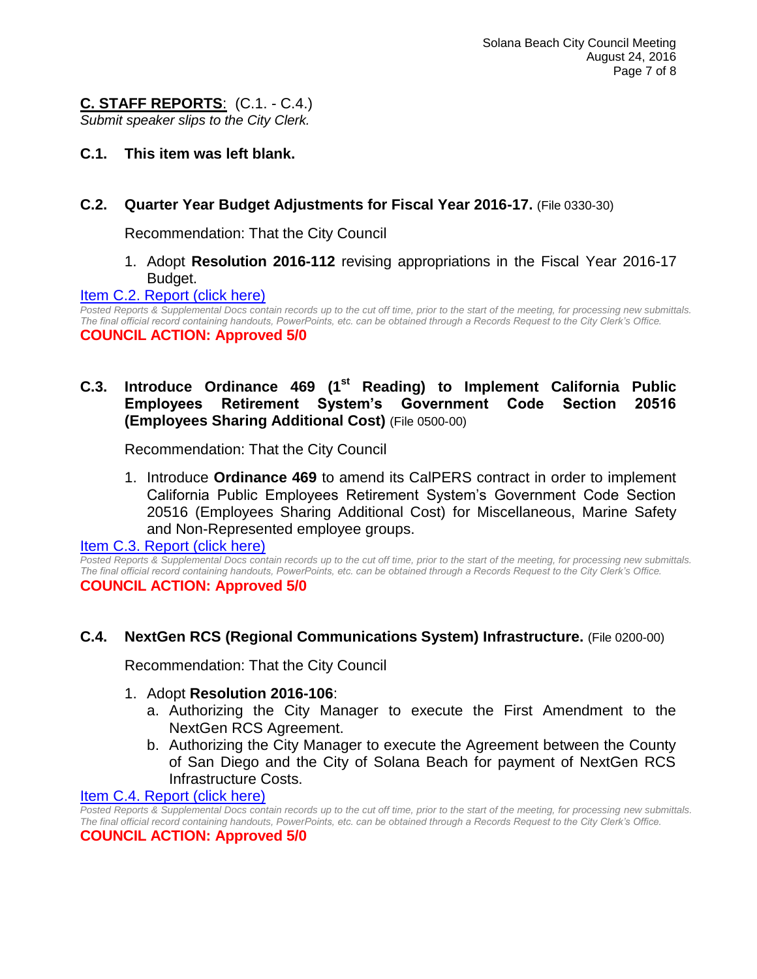# **C. STAFF REPORTS**: (C.1. - C.4.)

*Submit speaker slips to the City Clerk.*

**C.1. This item was left blank.**

# **C.2. Quarter Year Budget Adjustments for Fiscal Year 2016-17.** (File 0330-30)

Recommendation: That the City Council

1. Adopt **Resolution 2016-112** revising appropriations in the Fiscal Year 2016-17 Budget.

#### [Item C.2. Report \(click here\)](https://solanabeach.govoffice3.com/vertical/Sites/%7B840804C2-F869-4904-9AE3-720581350CE7%7D/uploads/Item_C.2._Report_(click_here)_08-24-16.PDF)

*Posted Reports & Supplemental Docs contain records up to the cut off time, prior to the start of the meeting, for processing new submittals. The final official record containing handouts, PowerPoints, etc. can be obtained through a Records Request to the City Clerk's Office.* **COUNCIL ACTION: Approved 5/0**

# **C.3. Introduce Ordinance 469 (1st Reading) to Implement California Public Employees Retirement System's Government Code Section 20516 (Employees Sharing Additional Cost)** (File 0500-00)

Recommendation: That the City Council

1. Introduce **Ordinance 469** to amend its CalPERS contract in order to implement California Public Employees Retirement System's Government Code Section 20516 (Employees Sharing Additional Cost) for Miscellaneous, Marine Safety and Non-Represented employee groups.

[Item C.3. Report \(click here\)](https://solanabeach.govoffice3.com/vertical/Sites/%7B840804C2-F869-4904-9AE3-720581350CE7%7D/uploads/Item_C.3._Report_(click_here)_08-24-16.PDF)

*Posted Reports & Supplemental Docs contain records up to the cut off time, prior to the start of the meeting, for processing new submittals. The final official record containing handouts, PowerPoints, etc. can be obtained through a Records Request to the City Clerk's Office.* **COUNCIL ACTION: Approved 5/0**

# **C.4. NextGen RCS (Regional Communications System) Infrastructure.** (File 0200-00)

Recommendation: That the City Council

#### 1. Adopt **Resolution 2016-106**:

- a. Authorizing the City Manager to execute the First Amendment to the NextGen RCS Agreement.
- b. Authorizing the City Manager to execute the Agreement between the County of San Diego and the City of Solana Beach for payment of NextGen RCS Infrastructure Costs.

#### [Item C.4. Report \(click here\)](https://solanabeach.govoffice3.com/vertical/Sites/%7B840804C2-F869-4904-9AE3-720581350CE7%7D/uploads/Item_C.4._Report_(click_here)_08-24-16.PDF)

*Posted Reports & Supplemental Docs contain records up to the cut off time, prior to the start of the meeting, for processing new submittals. The final official record containing handouts, PowerPoints, etc. can be obtained through a Records Request to the City Clerk's Office.*

#### **COUNCIL ACTION: Approved 5/0**